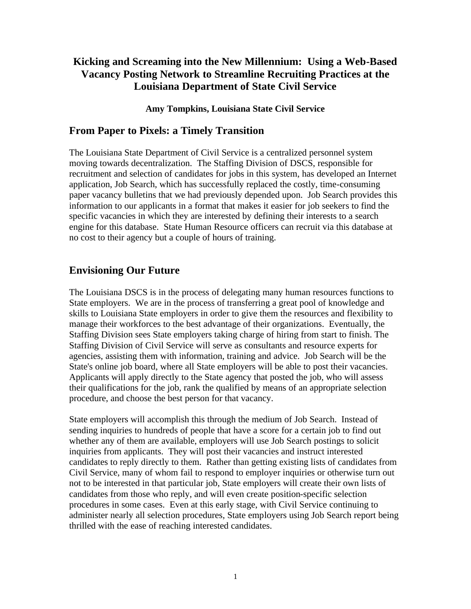# **Kicking and Screaming into the New Millennium: Using a Web-Based Vacancy Posting Network to Streamline Recruiting Practices at the Louisiana Department of State Civil Service**

#### **Amy Tompkins, Louisiana State Civil Service**

#### **From Paper to Pixels: a Timely Transition**

The Louisiana State Department of Civil Service is a centralized personnel system moving towards decentralization. The Staffing Division of DSCS, responsible for recruitment and selection of candidates for jobs in this system, has developed an Internet application, Job Search, which has successfully replaced the costly, time-consuming paper vacancy bulletins that we had previously depended upon. Job Search provides this information to our applicants in a format that makes it easier for job seekers to find the specific vacancies in which they are interested by defining their interests to a search engine for this database. State Human Resource officers can recruit via this database at no cost to their agency but a couple of hours of training.

## **Envisioning Our Future**

The Louisiana DSCS is in the process of delegating many human resources functions to State employers. We are in the process of transferring a great pool of knowledge and skills to Louisiana State employers in order to give them the resources and flexibility to manage their workforces to the best advantage of their organizations. Eventually, the Staffing Division sees State employers taking charge of hiring from start to finish. The Staffing Division of Civil Service will serve as consultants and resource experts for agencies, assisting them with information, training and advice. Job Search will be the State's online job board, where all State employers will be able to post their vacancies. Applicants will apply directly to the State agency that posted the job, who will assess their qualifications for the job, rank the qualified by means of an appropriate selection procedure, and choose the best person for that vacancy.

State employers will accomplish this through the medium of Job Search. Instead of sending inquiries to hundreds of people that have a score for a certain job to find out whether any of them are available, employers will use Job Search postings to solicit inquiries from applicants. They will post their vacancies and instruct interested candidates to reply directly to them. Rather than getting existing lists of candidates from Civil Service, many of whom fail to respond to employer inquiries or otherwise turn out not to be interested in that particular job, State employers will create their own lists of candidates from those who reply, and will even create position-specific selection procedures in some cases. Even at this early stage, with Civil Service continuing to administer nearly all selection procedures, State employers using Job Search report being thrilled with the ease of reaching interested candidates.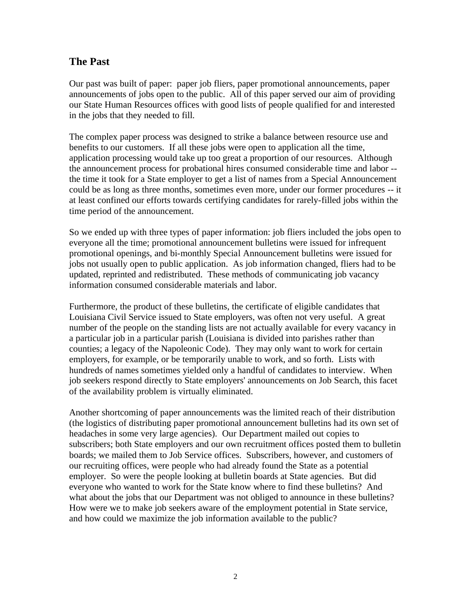## **The Past**

Our past was built of paper: paper job fliers, paper promotional announcements, paper announcements of jobs open to the public. All of this paper served our aim of providing our State Human Resources offices with good lists of people qualified for and interested in the jobs that they needed to fill.

The complex paper process was designed to strike a balance between resource use and benefits to our customers. If all these jobs were open to application all the time, application processing would take up too great a proportion of our resources. Although the announcement process for probational hires consumed considerable time and labor - the time it took for a State employer to get a list of names from a Special Announcement could be as long as three months, sometimes even more, under our former procedures -- it at least confined our efforts towards certifying candidates for rarely-filled jobs within the time period of the announcement.

So we ended up with three types of paper information: job fliers included the jobs open to everyone all the time; promotional announcement bulletins were issued for infrequent promotional openings, and bi-monthly Special Announcement bulletins were issued for jobs not usually open to public application. As job information changed, fliers had to be updated, reprinted and redistributed. These methods of communicating job vacancy information consumed considerable materials and labor.

Furthermore, the product of these bulletins, the certificate of eligible candidates that Louisiana Civil Service issued to State employers, was often not very useful. A great number of the people on the standing lists are not actually available for every vacancy in a particular job in a particular parish (Louisiana is divided into parishes rather than counties; a legacy of the Napoleonic Code). They may only want to work for certain employers, for example, or be temporarily unable to work, and so forth. Lists with hundreds of names sometimes yielded only a handful of candidates to interview. When job seekers respond directly to State employers' announcements on Job Search, this facet of the availability problem is virtually eliminated.

Another shortcoming of paper announcements was the limited reach of their distribution (the logistics of distributing paper promotional announcement bulletins had its own set of headaches in some very large agencies). Our Department mailed out copies to subscribers; both State employers and our own recruitment offices posted them to bulletin boards; we mailed them to Job Service offices. Subscribers, however, and customers of our recruiting offices, were people who had already found the State as a potential employer. So were the people looking at bulletin boards at State agencies. But did everyone who wanted to work for the State know where to find these bulletins? And what about the jobs that our Department was not obliged to announce in these bulletins? How were we to make job seekers aware of the employment potential in State service, and how could we maximize the job information available to the public?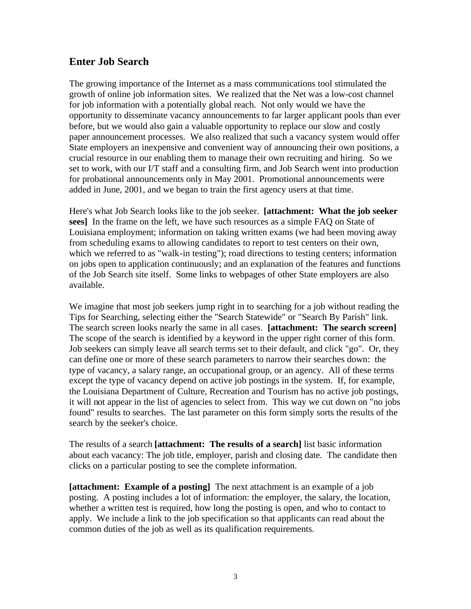## **Enter Job Search**

The growing importance of the Internet as a mass communications tool stimulated the growth of online job information sites. We realized that the Net was a low-cost channel for job information with a potentially global reach. Not only would we have the opportunity to disseminate vacancy announcements to far larger applicant pools than ever before, but we would also gain a valuable opportunity to replace our slow and costly paper announcement processes. We also realized that such a vacancy system would offer State employers an inexpensive and convenient way of announcing their own positions, a crucial resource in our enabling them to manage their own recruiting and hiring. So we set to work, with our I/T staff and a consulting firm, and Job Search went into production for probational announcements only in May 2001. Promotional announcements were added in June, 2001, and we began to train the first agency users at that time.

Here's what Job Search looks like to the job seeker. **[attachment: What the job seeker sees]** In the frame on the left, we have such resources as a simple FAQ on State of Louisiana employment; information on taking written exams (we had been moving away from scheduling exams to allowing candidates to report to test centers on their own, which we referred to as "walk-in testing"); road directions to testing centers; information on jobs open to application continuously; and an explanation of the features and functions of the Job Search site itself. Some links to webpages of other State employers are also available.

We imagine that most job seekers jump right in to searching for a job without reading the Tips for Searching, selecting either the "Search Statewide" or "Search By Parish" link. The search screen looks nearly the same in all cases. **[attachment: The search screen]** The scope of the search is identified by a keyword in the upper right corner of this form. Job seekers can simply leave all search terms set to their default, and click "go". Or, they can define one or more of these search parameters to narrow their searches down: the type of vacancy, a salary range, an occupational group, or an agency. All of these terms except the type of vacancy depend on active job postings in the system. If, for example, the Louisiana Department of Culture, Recreation and Tourism has no active job postings, it will not appear in the list of agencies to select from. This way we cut down on "no jobs found" results to searches. The last parameter on this form simply sorts the results of the search by the seeker's choice.

The results of a search **[attachment: The results of a search]** list basic information about each vacancy: The job title, employer, parish and closing date. The candidate then clicks on a particular posting to see the complete information.

**[attachment: Example of a posting]** The next attachment is an example of a job posting. A posting includes a lot of information: the employer, the salary, the location, whether a written test is required, how long the posting is open, and who to contact to apply. We include a link to the job specification so that applicants can read about the common duties of the job as well as its qualification requirements.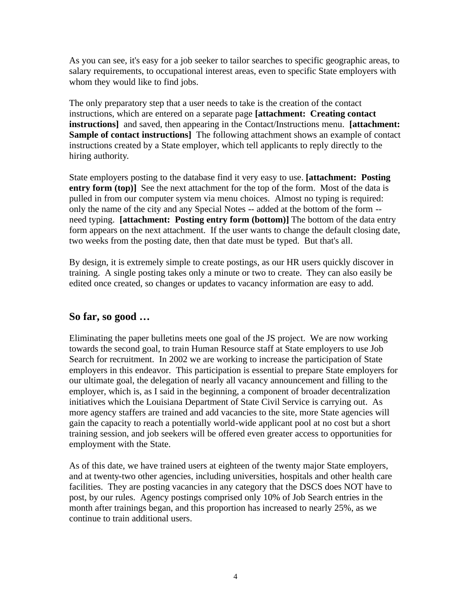As you can see, it's easy for a job seeker to tailor searches to specific geographic areas, to salary requirements, to occupational interest areas, even to specific State employers with whom they would like to find jobs.

The only preparatory step that a user needs to take is the creation of the contact instructions, which are entered on a separate page **[attachment: Creating contact instructions]** and saved, then appearing in the Contact/Instructions menu. **[attachment: Sample of contact instructions]** The following attachment shows an example of contact instructions created by a State employer, which tell applicants to reply directly to the hiring authority.

State employers posting to the database find it very easy to use. **[attachment: Posting entry form (top)]** See the next attachment for the top of the form. Most of the data is pulled in from our computer system via menu choices. Almost no typing is required: only the name of the city and any Special Notes -- added at the bottom of the form - need typing. **[attachment: Posting entry form (bottom)]** The bottom of the data entry form appears on the next attachment. If the user wants to change the default closing date, two weeks from the posting date, then that date must be typed. But that's all.

By design, it is extremely simple to create postings, as our HR users quickly discover in training. A single posting takes only a minute or two to create. They can also easily be edited once created, so changes or updates to vacancy information are easy to add.

# **So far, so good …**

Eliminating the paper bulletins meets one goal of the JS project. We are now working towards the second goal, to train Human Resource staff at State employers to use Job Search for recruitment. In 2002 we are working to increase the participation of State employers in this endeavor. This participation is essential to prepare State employers for our ultimate goal, the delegation of nearly all vacancy announcement and filling to the employer, which is, as I said in the beginning, a component of broader decentralization initiatives which the Louisiana Department of State Civil Service is carrying out. As more agency staffers are trained and add vacancies to the site, more State agencies will gain the capacity to reach a potentially world-wide applicant pool at no cost but a short training session, and job seekers will be offered even greater access to opportunities for employment with the State.

As of this date, we have trained users at eighteen of the twenty major State employers, and at twenty-two other agencies, including universities, hospitals and other health care facilities. They are posting vacancies in any category that the DSCS does NOT have to post, by our rules. Agency postings comprised only 10% of Job Search entries in the month after trainings began, and this proportion has increased to nearly 25%, as we continue to train additional users.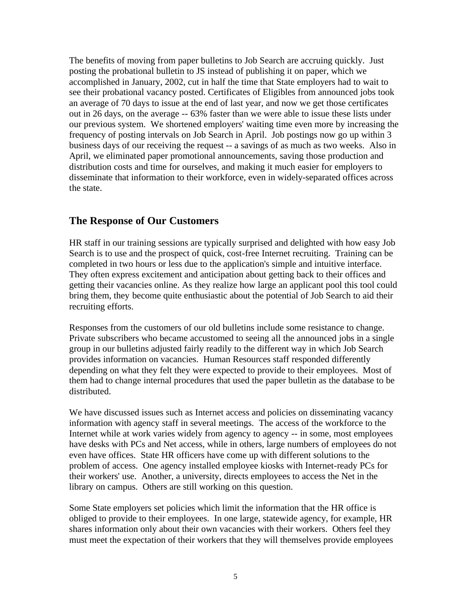The benefits of moving from paper bulletins to Job Search are accruing quickly. Just posting the probational bulletin to JS instead of publishing it on paper, which we accomplished in January, 2002, cut in half the time that State employers had to wait to see their probational vacancy posted. Certificates of Eligibles from announced jobs took an average of 70 days to issue at the end of last year, and now we get those certificates out in 26 days, on the average -- 63% faster than we were able to issue these lists under our previous system. We shortened employers' waiting time even more by increasing the frequency of posting intervals on Job Search in April. Job postings now go up within 3 business days of our receiving the request -- a savings of as much as two weeks. Also in April, we eliminated paper promotional announcements, saving those production and distribution costs and time for ourselves, and making it much easier for employers to disseminate that information to their workforce, even in widely-separated offices across the state.

## **The Response of Our Customers**

HR staff in our training sessions are typically surprised and delighted with how easy Job Search is to use and the prospect of quick, cost-free Internet recruiting. Training can be completed in two hours or less due to the application's simple and intuitive interface. They often express excitement and anticipation about getting back to their offices and getting their vacancies online. As they realize how large an applicant pool this tool could bring them, they become quite enthusiastic about the potential of Job Search to aid their recruiting efforts.

Responses from the customers of our old bulletins include some resistance to change. Private subscribers who became accustomed to seeing all the announced jobs in a single group in our bulletins adjusted fairly readily to the different way in which Job Search provides information on vacancies. Human Resources staff responded differently depending on what they felt they were expected to provide to their employees. Most of them had to change internal procedures that used the paper bulletin as the database to be distributed.

We have discussed issues such as Internet access and policies on disseminating vacancy information with agency staff in several meetings. The access of the workforce to the Internet while at work varies widely from agency to agency -- in some, most employees have desks with PCs and Net access, while in others, large numbers of employees do not even have offices. State HR officers have come up with different solutions to the problem of access. One agency installed employee kiosks with Internet-ready PCs for their workers' use. Another, a university, directs employees to access the Net in the library on campus. Others are still working on this question.

Some State employers set policies which limit the information that the HR office is obliged to provide to their employees. In one large, statewide agency, for example, HR shares information only about their own vacancies with their workers. Others feel they must meet the expectation of their workers that they will themselves provide employees